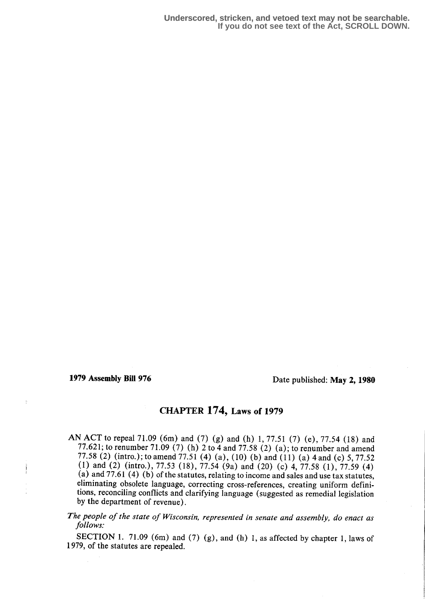Ť

1979 Assembly Bill 976 Date published: May 2, 1980

## CHAPTER 174, Laws of 1979

AN ACT to repeal 71 .09 (6m) and (7) (g) and (h) 1, 77.51 (7) (e), 77.54 (18) and 77.621; to renumber 71.09 (7) (h) 2 to 4 and 77.58 (2) (a); to renumber and amend 77.58 (2) (intro.) ; to amend 77.51 (4) (a), (10) (b) and (11) (a) 4 and (c) 5, 77.52 (1) and (2) (intro.), 77.53 (18), 77.54 (9a) and (20) (c) 4, 77.58 (1), 77.59 (4) (a) and  $77.61(4)(6)$  of the statutes, relating to income and sales and use tax statutes, eliminating obsolete language, correcting cross-references, creating uniform definitions, reconciling conflicts and clarifying language (suggested as remedial legislation by the department of revenue) .

The people of the state of Wisconsin, represented in senate and assembly, do enact as follows.

SECTION 1. 71.09 (6m) and (7) (g), and (h) 1, as affected by chapter 1, laws of 1979, of the statutes are repealed.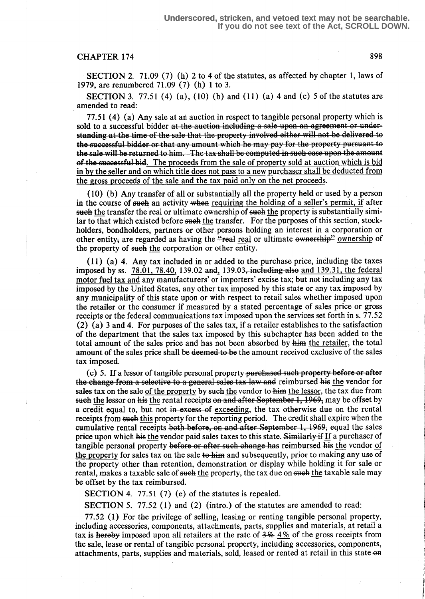## CHAPTER 174 898

SECTION 2. 71.09 (7) (h) 2 to 4 of the statutes, as affected by chapter 1, laws of 1979, are renumbered 71 .09 (7) (h) 1 to 3.

**SECTION** 3. 77.51 (4) (a), (10) (b) and (11) (a) 4 and (c) 5 of the statutes are amended to read:

77.51 (4) (a) Any sale at an auction in respect to tangible personal property which is sold to a successful bidder at the auction including a sale upon an agreement or understanding at the time of the sale that the property involved either will not be delivered to the successful bidder or that any amount which he may pay for the property pursuant to the sale will be returned to him. The tax shall be computed in such case upon the amount of the successful bid. The proceeds from the sale of property sold at auction which is bid in by the seller and on which title does not pass to a new purchaser shall be deducted from the gross proceeds of the sale and the tax paid only on the net proceeds.

(10) (b) Any transfer of all or substantially all the property held or used by a person in the course of such an activity when requiring the holding of a seller's permit, if after such the transfer the real or ultimate ownership of such the property is substantially similar to that which existed before such the transfer. For the purposes of this section, stockholders, bondholders, partners or other persons holding an interest in a corporation or other entity, are regarded as having the "real real or ultimate  $\omega$ wnership" ownership of the property of such the corporation or other entity.

(11) (a) 4. Any tax included in or added to the purchase price, including the taxes imposed by ss. 78.01, 78.40, 139.02 and, 139.03, including also and 139.31, the federal motor fuel tax and any manufacturers' or importers' excise tax; but not including any tax imposed by the United States, any other tax imposed by this state or any tax imposed by any municipality of this state upon or with respect to retail sales whether imposed upon the retailer or the consumer if measured by a stated percentage of sales price or gross receipts or the federal communications tax imposed upon the services set forth in s. 77.52 (2) (a) 3 and 4. For purposes of the sales tax, if a retailer establishes to the satisfaction of the department that the sales tax imposed by this subchapter has been added to the total amount of the sales price and has not been absorbed by him the retailer, the total amount of the sales price shall be deemed to be the amount received exclusive of the sales tax imposed.

(c) 5. If a lessor of tangible personal property purchased such property before or after the change from a selective to a general sales tax law and reimbursed his the vendor for sales tax on the sale of the property by such the vendor to him the lessor, the tax due from such the lessor on his the rental receipts on and after September 1, 1969, may be offset by a credit equal to, but not in excess of exceeding, the tax otherwise due on the rental receipts from such this property for the reporting period. The credit shall expire when the cumulative rental receipts both before, on and after September  $1, 1969$ , equal the sales price upon which his the vendor paid sales taxes to this state. Similarly if If a purchaser of tangible personal property before or after such change has reimbursed his the vendor of the property for sales tax on the sale to him and subsequently, prior to making any use of the property other than retention, demonstration or display while holding it for sale or rental, makes a taxable sale of such the property, the tax due on such the taxable sale may be offset by the tax reimbursed.

SECTION 4. 77.51 (7) (e) of the statutes is repealed.

SECTION 5. 77.52 (1) and (2) (intro.) of the statutes are amended to read:

77.52 (1) For the privilege of selling, leasing or renting tangible personal property, including accessories, components, attachments, parts, supplies and materials, at retail a tax is hereby imposed upon all retailers at the rate of  $3\frac{1}{2}$  4% of the gross receipts from the sale, lease or rental of tangible personal property, including accessories, components, attachments, parts, supplies and materials, sold, leased or rented at retail in this state on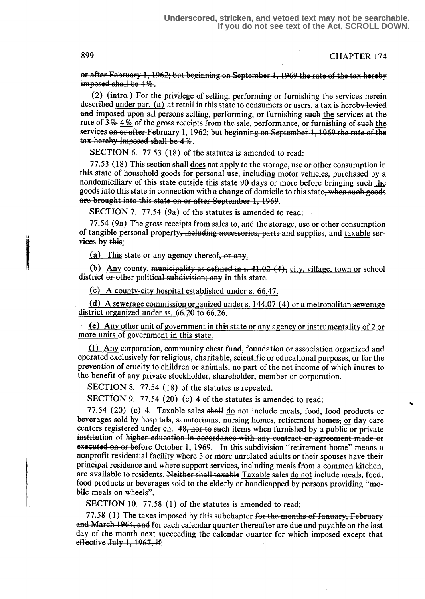**CHAPTER 174** 

or after February 1, 1962; but beginning on September 1, 1969 the rate of the tax hereby imposed shall be  $4\%$ .

(2) (intro.) For the privilege of selling, performing or furnishing the services herein described under par. (a) at retail in this state to consumers or users, a tax is hereby levied and imposed upon all persons selling, performing, or furnishing such the services at the rate of  $3\frac{1}{2}\frac{1}{2}\frac{1}{2}\frac{1}{2}$  of the gross receipts from the sale, performance, or furnishing of such the services on or after February 1, 1962; but beginning on September 1, 1969 the rate of the tax hereby imposed shall be  $4\%$ .

SECTION 6. 77.53 (18) of the statutes is amended to read:

77.53 (18) This section shall does not apply to the storage, use or other consumption in this state of household goods for personal use, including motor vehicles, purchased by a nondomiciliary of this state outside this state 90 days or more before bringing such the goods into this state in connection with a change of domicile to this state, when such goods are brought into this state on or after September 1, 1969.

SECTION 7. 77.54 (9a) of the statutes is amended to read:

77.54 (9a) The gross receipts from sales to, and the storage, use or other consumption of tangible personal property<del>, including accessories, parts and supplies,</del> and taxable services by this:

(a) This state or any agency thereof. or any.

(b) Any county, municipality as defined in s. 41.02  $(4)$ , city, village, town or school district or other political subdivision; any in this state.

(c) A county-city hospital established under s. 66.47.

(d) A sewerage commission organized under s. 144.07 (4) or a metropolitan sewerage district organized under ss. 66.20 to 66.26.

(e) Any other unit of government in this state or any agency or instrumentality of 2 or more units of government in this state.

(f) Any corporation, community chest fund, foundation or association organized and operated exclusively for religious, charitable, scientific or educational purposes, or for the prevention of cruelty to children or animals, no part of the net income of which inures to the benefit of any private stockholder, shareholder, member or corporation.

SECTION 8. 77.54 (18) of the statutes is repealed.

SECTION 9. 77.54 (20) (c) 4 of the statutes is amended to read:

77.54 (20) (c) 4. Taxable sales shall do not include meals, food, food products or beverages sold by hospitals, sanatoriums, nursing homes, retirement homes, or day care centers registered under ch. 48, nor to such items when furnished by a public or private institution of higher education in accordance with any contract or agreement made or executed on or before October 1, 1969. In this subdivision "retirement home" means a nonprofit residential facility where 3 or more unrelated adults or their spouses have their principal residence and where support services, including meals from a common kitchen, are available to residents. Neither shall taxable Taxable sales do not include meals, food, food products or beverages sold to the elderly or handicapped by persons providing "mobile meals on wheels".

SECTION 10. 77.58 (1) of the statutes is amended to read:

77.58 (1) The taxes imposed by this subchapter for the months of January, February and March 1964, and for each calendar quarter thereafter are due and payable on the last day of the month next succeeding the calendar quarter for which imposed except that effective July 1,  $1967$ , if:

899